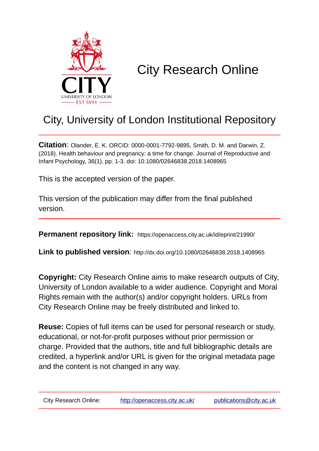

## City Research Online

## City, University of London Institutional Repository

**Citation**: Olander, E. K. ORCID: 0000-0001-7792-9895, Smith, D. M. and Darwin, Z. (2018). Health behaviour and pregnancy: a time for change. Journal of Reproductive and Infant Psychology, 36(1), pp. 1-3. doi: 10.1080/02646838.2018.1408965

This is the accepted version of the paper.

This version of the publication may differ from the final published version.

**Permanent repository link:** https://openaccess.city.ac.uk/id/eprint/21990/

**Link to published version**: http://dx.doi.org/10.1080/02646838.2018.1408965

**Copyright:** City Research Online aims to make research outputs of City, University of London available to a wider audience. Copyright and Moral Rights remain with the author(s) and/or copyright holders. URLs from City Research Online may be freely distributed and linked to.

**Reuse:** Copies of full items can be used for personal research or study, educational, or not-for-profit purposes without prior permission or charge. Provided that the authors, title and full bibliographic details are credited, a hyperlink and/or URL is given for the original metadata page and the content is not changed in any way.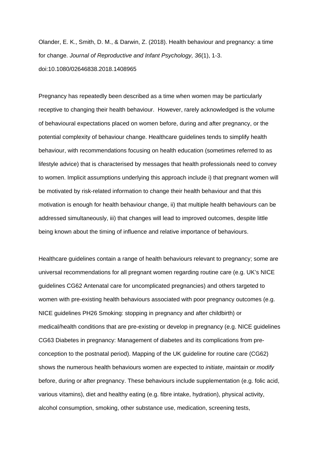Olander, E. K., Smith, D. M., & Darwin, Z. (2018). Health behaviour and pregnancy: a time for change. *Journal of Reproductive and Infant Psychology, 36*(1), 1-3. doi:10.1080/02646838.2018.1408965

Pregnancy has repeatedly been described as a time when women may be particularly receptive to changing their health behaviour. However, rarely acknowledged is the volume of behavioural expectations placed on women before, during and after pregnancy, or the potential complexity of behaviour change. Healthcare guidelines tends to simplify health behaviour, with recommendations focusing on health education (sometimes referred to as lifestyle advice) that is characterised by messages that health professionals need to convey to women. Implicit assumptions underlying this approach include i) that pregnant women will be motivated by risk-related information to change their health behaviour and that this motivation is enough for health behaviour change, ii) that multiple health behaviours can be addressed simultaneously, iii) that changes will lead to improved outcomes, despite little being known about the timing of influence and relative importance of behaviours.

Healthcare guidelines contain a range of health behaviours relevant to pregnancy; some are universal recommendations for all pregnant women regarding routine care (e.g. UK's NICE guidelines CG62 Antenatal care for uncomplicated pregnancies) and others targeted to women with pre-existing health behaviours associated with poor pregnancy outcomes (e.g. NICE guidelines PH26 Smoking: stopping in pregnancy and after childbirth) or medical/health conditions that are pre-existing or develop in pregnancy (e.g. NICE guidelines CG63 Diabetes in pregnancy: Management of diabetes and its complications from preconception to the postnatal period). Mapping of the UK guideline for routine care (CG62) shows the numerous health behaviours women are expected to *initiate*, *maintain* or *modify* before, during or after pregnancy. These behaviours include supplementation (e.g. folic acid, various vitamins), diet and healthy eating (e.g. fibre intake, hydration), physical activity, alcohol consumption, smoking, other substance use, medication, screening tests,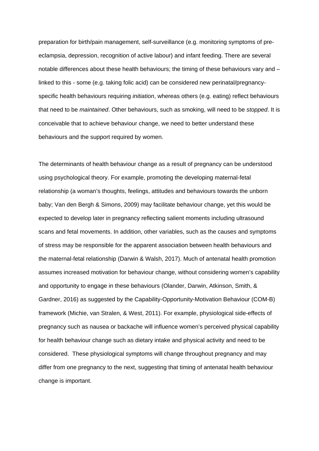preparation for birth/pain management, self-surveillance (e.g. monitoring symptoms of preeclampsia, depression, recognition of active labour) and infant feeding. There are several notable differences about these health behaviours; the timing of these behaviours vary and – linked to this - some (e.g. taking folic acid) can be considered new perinatal/pregnancyspecific health behaviours requiring *initiation*, whereas others (e.g. eating) reflect behaviours that need to be *maintained*. Other behaviours, such as smoking, will need to be *stopped*. It is conceivable that to achieve behaviour change, we need to better understand these behaviours and the support required by women.

The determinants of health behaviour change as a result of pregnancy can be understood using psychological theory. For example, promoting the developing maternal-fetal relationship [\(a woman's thoughts, feelings, attitudes and behaviours towards the unborn](#page-5-0)  [baby; Van den Bergh & Simons, 2009\)](#page-5-0) may facilitate behaviour change, yet this would be expected to develop later in pregnancy reflecting salient moments including ultrasound scans and fetal movements. In addition, other variables, such as the causes and symptoms of stress may be responsible for the apparent association between health behaviours and the maternal-fetal relationship [\(Darwin & Walsh, 2017\)](#page-5-1). Much of antenatal health promotion assumes increased motivation for behaviour change, without considering women's capability and opportunity to engage in these behaviours [\(Olander, Darwin, Atkinson, Smith, &](#page-5-2)  [Gardner, 2016\)](#page-5-2) as suggested by the Capability-Opportunity-Motivation Behaviour (COM-B) framework [\(Michie, van Stralen, & West, 2011\)](#page-5-3). For example, physiological side-effects of pregnancy such as nausea or backache will influence women's perceived physical capability for health behaviour change such as dietary intake and physical activity and need to be considered. These physiological symptoms will change throughout pregnancy and may differ from one pregnancy to the next, suggesting that timing of antenatal health behaviour change is important.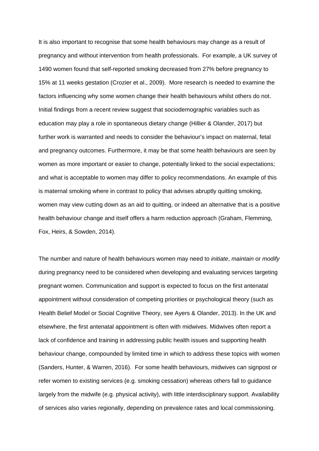It is also important to recognise that some health behaviours may change as a result of pregnancy and without intervention from health professionals. For example, a UK survey of 1490 women found that self-reported smoking decreased from 27% before pregnancy to 15% at 11 weeks gestation [\(Crozier et al., 2009\)](#page-5-4). More research is needed to examine the factors influencing why some women change their health behaviours whilst others do not. Initial findings from a recent review suggest that sociodemographic variables such as education may play a role in spontaneous dietary change (Hillier & Olander, 2017) but further work is warranted and needs to consider the behaviour's impact on maternal, fetal and pregnancy outcomes. Furthermore, it may be that some health behaviours are seen by women as more important or easier to change, potentially linked to the social expectations; and what is acceptable to women may differ to policy recommendations. An example of this is maternal smoking where in contrast to policy that advises abruptly quitting smoking, women may view cutting down as an aid to quitting, or indeed an alternative that is a positive health behaviour change and itself offers a harm reduction approach [\(Graham, Flemming,](#page-5-5)  [Fox, Heirs, & Sowden, 2014\)](#page-5-5).

The number and nature of health behaviours women may need to *initiate*, *maintain* or *modify* during pregnancy need to be considered when developing and evaluating services targeting pregnant women. Communication and support is expected to focus on the first antenatal appointment without consideration of competing priorities or psychological theory [\(such as](#page-5-6)  [Health Belief Model or Social Cognitive Theory, see Ayers & Olander, 2013\)](#page-5-6). In the UK and elsewhere, the first antenatal appointment is often with midwives. Midwives often report a lack of confidence and training in addressing public health issues and supporting health behaviour change, compounded by limited time in which to address these topics with women [\(Sanders, Hunter, & Warren, 2016\)](#page-5-7). For some health behaviours, midwives can signpost or refer women to existing services (e.g. smoking cessation) whereas others fall to guidance largely from the midwife (e.g. physical activity), with little interdisciplinary support. Availability of services also varies regionally, depending on prevalence rates and local commissioning.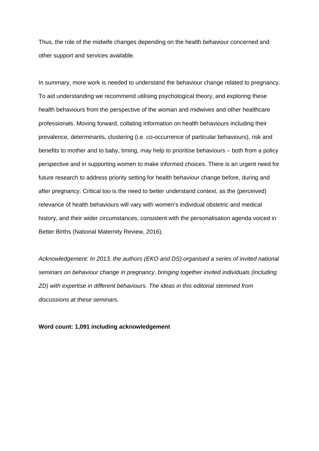Thus, the role of the midwife changes depending on the health behaviour concerned and other support and services available.

In summary, more work is needed to understand the behaviour change related to pregnancy. To aid understanding we recommend utilising psychological theory, and exploring these health behaviours from the perspective of the woman and midwives and other healthcare professionals. Moving forward, collating information on health behaviours including their prevalence, determinants, clustering (i.e. co-occurrence of particular behaviours), risk and benefits to mother and to baby, timing, may help to prioritise behaviours – both from a policy perspective and in supporting women to make informed choices. There is an urgent need for future research to address priority setting for health behaviour change before, during and after pregnancy. Critical too is the need to better understand context, as the (perceived) relevance of health behaviours will vary with women's individual obstetric and medical history, and their wider circumstances, consistent with the personalisation agenda voiced in Better Births [\(National Maternity Review, 2016\)](#page-5-8).

*Acknowledgement: In 2013, the authors (EKO and DS) organised a series of invited national seminars on behaviour change in pregnancy, bringing together invited individuals (including ZD) with expertise in different behaviours. The ideas in this editorial stemmed from discussions at these seminars.* 

**Word count: 1,091 including acknowledgement**